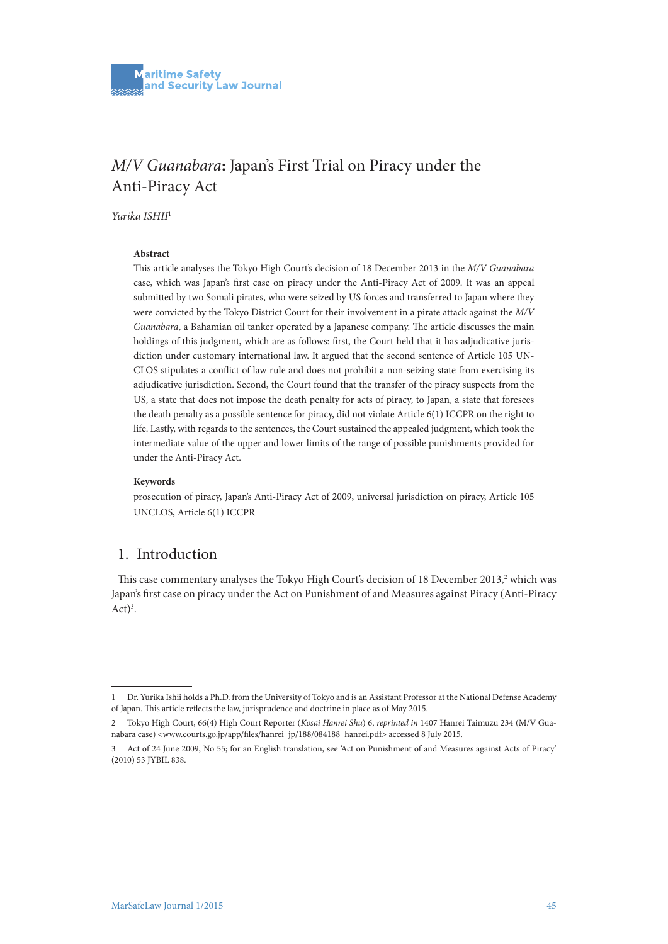# *M/V Guanabara***:** Japan's First Trial on Piracy under the Anti-Piracy Act

*Yurika ISHII*<sup>1</sup>

#### **Abstract**

This article analyses the Tokyo High Court's decision of 18 December 2013 in the *M/V Guanabara* case, which was Japan's first case on piracy under the Anti-Piracy Act of 2009. It was an appeal submitted by two Somali pirates, who were seized by US forces and transferred to Japan where they were convicted by the Tokyo District Court for their involvement in a pirate attack against the *M/V Guanabara*, a Bahamian oil tanker operated by a Japanese company. The article discusses the main holdings of this judgment, which are as follows: first, the Court held that it has adjudicative jurisdiction under customary international law. It argued that the second sentence of Article 105 UN-CLOS stipulates a conflict of law rule and does not prohibit a non-seizing state from exercising its adjudicative jurisdiction. Second, the Court found that the transfer of the piracy suspects from the US, a state that does not impose the death penalty for acts of piracy, to Japan, a state that foresees the death penalty as a possible sentence for piracy, did not violate Article 6(1) ICCPR on the right to life. Lastly, with regards to the sentences, the Court sustained the appealed judgment, which took the intermediate value of the upper and lower limits of the range of possible punishments provided for under the Anti-Piracy Act.

#### **Keywords**

prosecution of piracy, Japan's Anti-Piracy Act of 2009, universal jurisdiction on piracy, Article 105 UNCLOS, Article 6(1) ICCPR

### 1. Introduction

This case commentary analyses the Tokyo High Court's decision of 18 December 2013,<sup>2</sup> which was Japan's first case on piracy under the Act on Punishment of and Measures against Piracy (Anti-Piracy  $Act)^3$ .

<sup>1</sup> Dr. Yurika Ishii holds a Ph.D. from the University of Tokyo and is an Assistant Professor at the National Defense Academy of Japan. This article reflects the law, jurisprudence and doctrine in place as of May 2015.

<sup>2</sup> Tokyo High Court, 66(4) High Court Reporter (*Kosai Hanrei Shu*) 6, *reprinted in* 1407 Hanrei Taimuzu 234 (M/V Guanabara case) <www.courts.go.jp/app/files/hanrei\_jp/188/084188\_hanrei.pdf> accessed 8 July 2015.

<sup>3</sup> Act of 24 June 2009, No 55; for an English translation, see 'Act on Punishment of and Measures against Acts of Piracy' (2010) 53 JYBIL 838.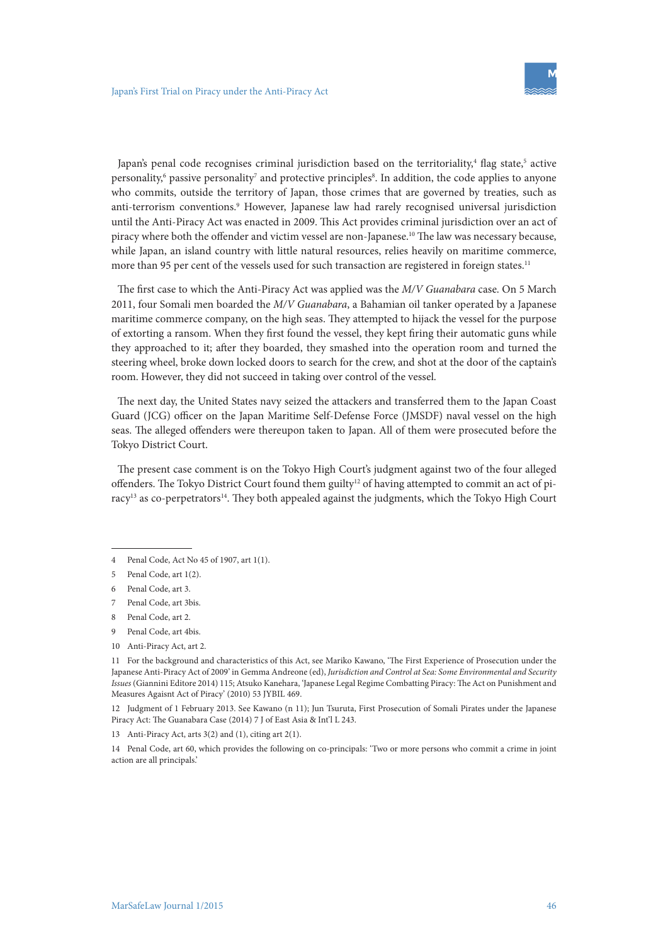Japan's penal code recognises criminal jurisdiction based on the territoriality,<sup>4</sup> flag state,<sup>5</sup> active personality,<sup>6</sup> passive personality<sup>7</sup> and protective principles<sup>8</sup>. In addition, the code applies to anyone who commits, outside the territory of Japan, those crimes that are governed by treaties, such as anti-terrorism conventions.<sup>9</sup> However, Japanese law had rarely recognised universal jurisdiction until the Anti-Piracy Act was enacted in 2009. This Act provides criminal jurisdiction over an act of piracy where both the offender and victim vessel are non-Japanese.<sup>10</sup> The law was necessary because, while Japan, an island country with little natural resources, relies heavily on maritime commerce, more than 95 per cent of the vessels used for such transaction are registered in foreign states.<sup>11</sup>

The first case to which the Anti-Piracy Act was applied was the *M/V Guanabara* case. On 5 March 2011, four Somali men boarded the *M/V Guanabara*, a Bahamian oil tanker operated by a Japanese maritime commerce company, on the high seas. They attempted to hijack the vessel for the purpose of extorting a ransom. When they first found the vessel, they kept firing their automatic guns while they approached to it; after they boarded, they smashed into the operation room and turned the steering wheel, broke down locked doors to search for the crew, and shot at the door of the captain's room. However, they did not succeed in taking over control of the vessel.

The next day, the United States navy seized the attackers and transferred them to the Japan Coast Guard (JCG) officer on the Japan Maritime Self-Defense Force (JMSDF) naval vessel on the high seas. The alleged offenders were thereupon taken to Japan. All of them were prosecuted before the Tokyo District Court.

The present case comment is on the Tokyo High Court's judgment against two of the four alleged offenders. The Tokyo District Court found them guilty<sup>12</sup> of having attempted to commit an act of piracy<sup>13</sup> as co-perpetrators<sup>14</sup>. They both appealed against the judgments, which the Tokyo High Court

- 7 Penal Code, art 3bis.
- 8 Penal Code, art 2.
- 9 Penal Code, art 4bis.
- 10 Anti-Piracy Act, art 2.

11 For the background and characteristics of this Act, see Mariko Kawano, 'The First Experience of Prosecution under the Japanese Anti-Piracy Act of 2009' in Gemma Andreone (ed), *Jurisdiction and Control at Sea: Some Environmental and Security Issues* (Giannini Editore 2014) 115; Atsuko Kanehara, 'Japanese Legal Regime Combatting Piracy: The Act on Punishment and Measures Agaisnt Act of Piracy' (2010) 53 JYBIL 469.

12 Judgment of 1 February 2013. See Kawano (n 11); Jun Tsuruta, First Prosecution of Somali Pirates under the Japanese Piracy Act: The Guanabara Case (2014) 7 J of East Asia & Int'l L 243.

14 Penal Code, art 60, which provides the following on co-principals: 'Two or more persons who commit a crime in joint action are all principals.'

<sup>4</sup> Penal Code, Act No 45 of 1907, art 1(1).

<sup>5</sup> Penal Code, art 1(2).

<sup>6</sup> Penal Code, art 3.

<sup>13</sup> Anti-Piracy Act, arts 3(2) and (1), citing art 2(1).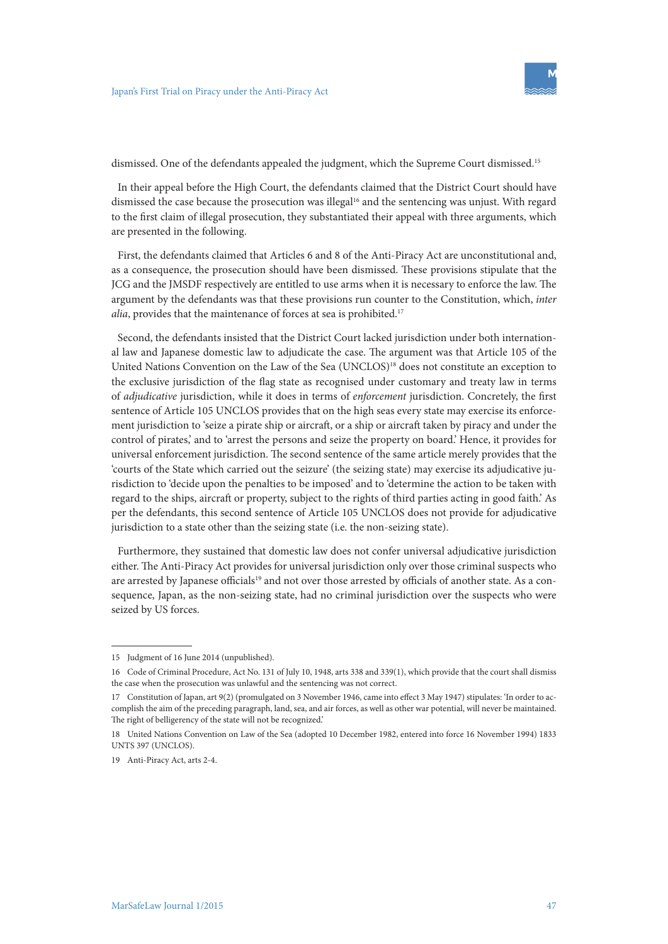

dismissed. One of the defendants appealed the judgment, which the Supreme Court dismissed.15

In their appeal before the High Court, the defendants claimed that the District Court should have dismissed the case because the prosecution was illegal<sup>16</sup> and the sentencing was unjust. With regard to the first claim of illegal prosecution, they substantiated their appeal with three arguments, which are presented in the following.

First, the defendants claimed that Articles 6 and 8 of the Anti-Piracy Act are unconstitutional and, as a consequence, the prosecution should have been dismissed. These provisions stipulate that the JCG and the JMSDF respectively are entitled to use arms when it is necessary to enforce the law. The argument by the defendants was that these provisions run counter to the Constitution, which, *inter alia*, provides that the maintenance of forces at sea is prohibited.<sup>17</sup>

Second, the defendants insisted that the District Court lacked jurisdiction under both international law and Japanese domestic law to adjudicate the case. The argument was that Article 105 of the United Nations Convention on the Law of the Sea (UNCLOS)<sup>18</sup> does not constitute an exception to the exclusive jurisdiction of the flag state as recognised under customary and treaty law in terms of *adjudicative* jurisdiction, while it does in terms of *enforcement* jurisdiction. Concretely, the first sentence of Article 105 UNCLOS provides that on the high seas every state may exercise its enforcement jurisdiction to 'seize a pirate ship or aircraft, or a ship or aircraft taken by piracy and under the control of pirates,' and to 'arrest the persons and seize the property on board.' Hence, it provides for universal enforcement jurisdiction. The second sentence of the same article merely provides that the 'courts of the State which carried out the seizure' (the seizing state) may exercise its adjudicative jurisdiction to 'decide upon the penalties to be imposed' and to 'determine the action to be taken with regard to the ships, aircraft or property, subject to the rights of third parties acting in good faith.' As per the defendants, this second sentence of Article 105 UNCLOS does not provide for adjudicative jurisdiction to a state other than the seizing state (i.e. the non-seizing state).

Furthermore, they sustained that domestic law does not confer universal adjudicative jurisdiction either. The Anti-Piracy Act provides for universal jurisdiction only over those criminal suspects who are arrested by Japanese officials<sup>19</sup> and not over those arrested by officials of another state. As a consequence, Japan, as the non-seizing state, had no criminal jurisdiction over the suspects who were seized by US forces.

<sup>15</sup> Judgment of 16 June 2014 (unpublished).

<sup>16</sup> Code of Criminal Procedure, Act No. 131 of July 10, 1948, arts 338 and 339(1), which provide that the court shall dismiss the case when the prosecution was unlawful and the sentencing was not correct.

<sup>17</sup> Constitution of Japan, art 9(2) (promulgated on 3 November 1946, came into effect 3 May 1947) stipulates: 'In order to accomplish the aim of the preceding paragraph, land, sea, and air forces, as well as other war potential, will never be maintained. The right of belligerency of the state will not be recognized.'

<sup>18</sup> United Nations Convention on Law of the Sea (adopted 10 December 1982, entered into force 16 November 1994) 1833 UNTS 397 (UNCLOS).

<sup>19</sup> Anti-Piracy Act, arts 2-4.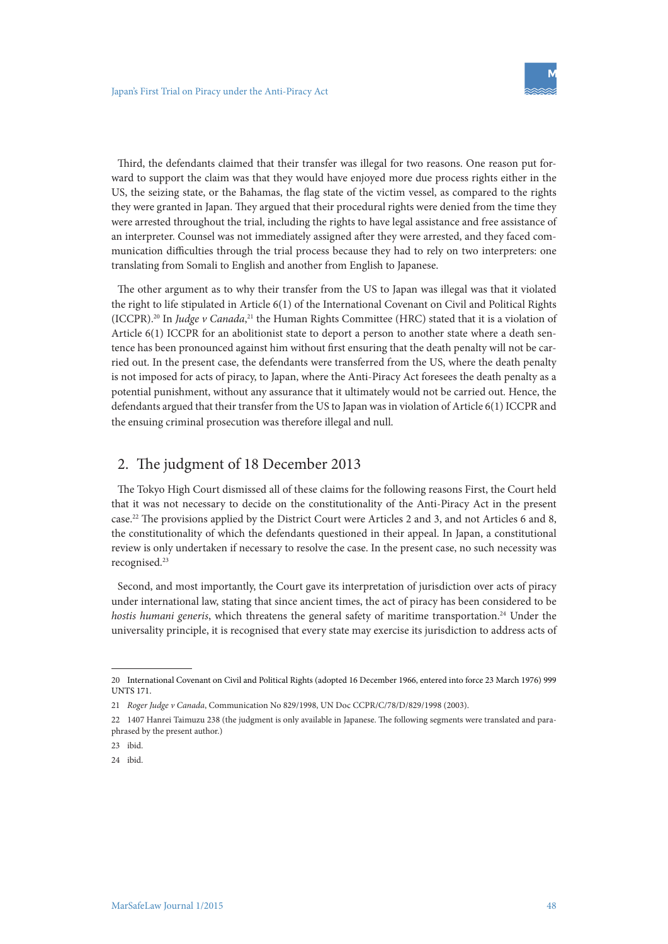Third, the defendants claimed that their transfer was illegal for two reasons. One reason put forward to support the claim was that they would have enjoyed more due process rights either in the US, the seizing state, or the Bahamas, the flag state of the victim vessel, as compared to the rights they were granted in Japan. They argued that their procedural rights were denied from the time they were arrested throughout the trial, including the rights to have legal assistance and free assistance of an interpreter. Counsel was not immediately assigned after they were arrested, and they faced communication difficulties through the trial process because they had to rely on two interpreters: one translating from Somali to English and another from English to Japanese.

The other argument as to why their transfer from the US to Japan was illegal was that it violated the right to life stipulated in Article 6(1) of the International Covenant on Civil and Political Rights (ICCPR).20 In *Judge v Canada*, 21 the Human Rights Committee (HRC) stated that it is a violation of Article 6(1) ICCPR for an abolitionist state to deport a person to another state where a death sentence has been pronounced against him without first ensuring that the death penalty will not be carried out. In the present case, the defendants were transferred from the US, where the death penalty is not imposed for acts of piracy, to Japan, where the Anti-Piracy Act foresees the death penalty as a potential punishment, without any assurance that it ultimately would not be carried out. Hence, the defendants argued that their transfer from the US to Japan was in violation of Article 6(1) ICCPR and the ensuing criminal prosecution was therefore illegal and null.

### 2. The judgment of 18 December 2013

The Tokyo High Court dismissed all of these claims for the following reasons First, the Court held that it was not necessary to decide on the constitutionality of the Anti-Piracy Act in the present case.22 The provisions applied by the District Court were Articles 2 and 3, and not Articles 6 and 8, the constitutionality of which the defendants questioned in their appeal. In Japan, a constitutional review is only undertaken if necessary to resolve the case. In the present case, no such necessity was recognised.23

Second, and most importantly, the Court gave its interpretation of jurisdiction over acts of piracy under international law, stating that since ancient times, the act of piracy has been considered to be *hostis humani generis*, which threatens the general safety of maritime transportation.<sup>24</sup> Under the universality principle, it is recognised that every state may exercise its jurisdiction to address acts of

<sup>20</sup> International Covenant on Civil and Political Rights (adopted 16 December 1966, entered into force 23 March 1976) 999 UNTS 171.

<sup>21</sup> *Roger Judge v Canada*, Communication No 829/1998, UN Doc CCPR/C/78/D/829/1998 (2003).

<sup>22</sup> 1407 Hanrei Taimuzu 238 (the judgment is only available in Japanese. The following segments were translated and paraphrased by the present author.)

<sup>23</sup> ibid.

<sup>24</sup> ibid.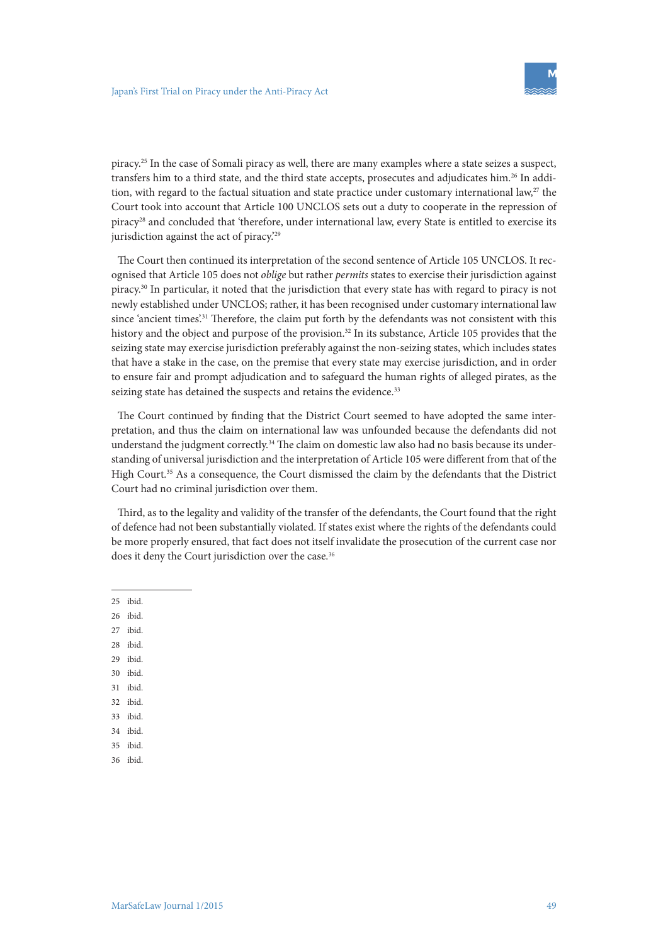piracy.25 In the case of Somali piracy as well, there are many examples where a state seizes a suspect, transfers him to a third state, and the third state accepts, prosecutes and adjudicates him.<sup>26</sup> In addition, with regard to the factual situation and state practice under customary international law, $27$  the Court took into account that Article 100 UNCLOS sets out a duty to cooperate in the repression of piracy<sup>28</sup> and concluded that 'therefore, under international law, every State is entitled to exercise its jurisdiction against the act of piracy.<sup>29</sup>

The Court then continued its interpretation of the second sentence of Article 105 UNCLOS. It recognised that Article 105 does not *oblige* but rather *permits* states to exercise their jurisdiction against piracy.30 In particular, it noted that the jurisdiction that every state has with regard to piracy is not newly established under UNCLOS; rather, it has been recognised under customary international law since 'ancient times'.<sup>31</sup> Therefore, the claim put forth by the defendants was not consistent with this history and the object and purpose of the provision.<sup>32</sup> In its substance, Article 105 provides that the seizing state may exercise jurisdiction preferably against the non-seizing states, which includes states that have a stake in the case, on the premise that every state may exercise jurisdiction, and in order to ensure fair and prompt adjudication and to safeguard the human rights of alleged pirates, as the seizing state has detained the suspects and retains the evidence.<sup>33</sup>

The Court continued by finding that the District Court seemed to have adopted the same interpretation, and thus the claim on international law was unfounded because the defendants did not understand the judgment correctly.<sup>34</sup> The claim on domestic law also had no basis because its understanding of universal jurisdiction and the interpretation of Article 105 were different from that of the High Court.35 As a consequence, the Court dismissed the claim by the defendants that the District Court had no criminal jurisdiction over them.

Third, as to the legality and validity of the transfer of the defendants, the Court found that the right of defence had not been substantially violated. If states exist where the rights of the defendants could be more properly ensured, that fact does not itself invalidate the prosecution of the current case nor does it deny the Court jurisdiction over the case.<sup>36</sup>

25 ibid.

26 ibid.

- 27 ibid.
- 28 ibid.
- 29 ibid.
- 30 ibid.
- 31 ibid.
- 32 ibid.
- 33 ibid. 34 ibid.
- 35 ibid.
- 36 ibid.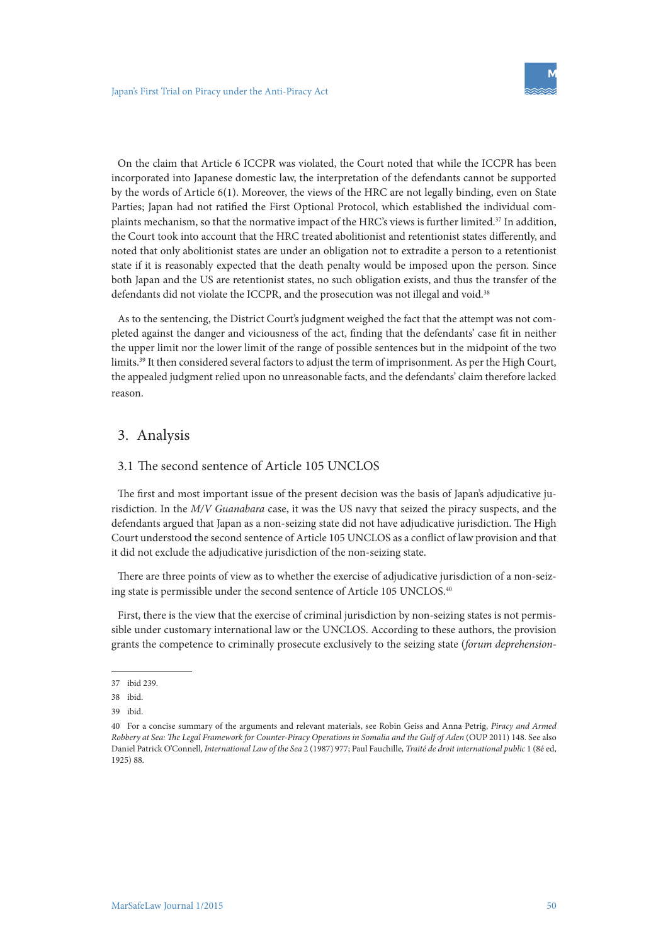On the claim that Article 6 ICCPR was violated, the Court noted that while the ICCPR has been incorporated into Japanese domestic law, the interpretation of the defendants cannot be supported by the words of Article 6(1). Moreover, the views of the HRC are not legally binding, even on State Parties; Japan had not ratified the First Optional Protocol, which established the individual complaints mechanism, so that the normative impact of the HRC's views is further limited.37 In addition, the Court took into account that the HRC treated abolitionist and retentionist states differently, and noted that only abolitionist states are under an obligation not to extradite a person to a retentionist state if it is reasonably expected that the death penalty would be imposed upon the person. Since both Japan and the US are retentionist states, no such obligation exists, and thus the transfer of the defendants did not violate the ICCPR, and the prosecution was not illegal and void.<sup>38</sup>

As to the sentencing, the District Court's judgment weighed the fact that the attempt was not completed against the danger and viciousness of the act, finding that the defendants' case fit in neither the upper limit nor the lower limit of the range of possible sentences but in the midpoint of the two limits.39 It then considered several factors to adjust the term of imprisonment. As per the High Court, the appealed judgment relied upon no unreasonable facts, and the defendants' claim therefore lacked reason.

# 3. Analysis

### 3.1 The second sentence of Article 105 UNCLOS

The first and most important issue of the present decision was the basis of Japan's adjudicative jurisdiction. In the *M/V Guanabara* case, it was the US navy that seized the piracy suspects, and the defendants argued that Japan as a non-seizing state did not have adjudicative jurisdiction. The High Court understood the second sentence of Article 105 UNCLOS as a conflict of law provision and that it did not exclude the adjudicative jurisdiction of the non-seizing state.

There are three points of view as to whether the exercise of adjudicative jurisdiction of a non-seizing state is permissible under the second sentence of Article 105 UNCLOS.40

First, there is the view that the exercise of criminal jurisdiction by non-seizing states is not permissible under customary international law or the UNCLOS. According to these authors, the provision grants the competence to criminally prosecute exclusively to the seizing state (*forum deprehension-*

<sup>37</sup> ibid 239.

<sup>38</sup> ibid.

<sup>39</sup> ibid.

<sup>40</sup> For a concise summary of the arguments and relevant materials, see Robin Geiss and Anna Petrig, *Piracy and Armed Robbery at Sea: The Legal Framework for Counter-Piracy Operations in Somalia and the Gulf of Aden* (OUP 2011) 148. See also Daniel Patrick O'Connell, *International Law of the Sea* 2 (1987) 977; Paul Fauchille, *Traité de droit international public* 1 (8é ed, 1925) 88.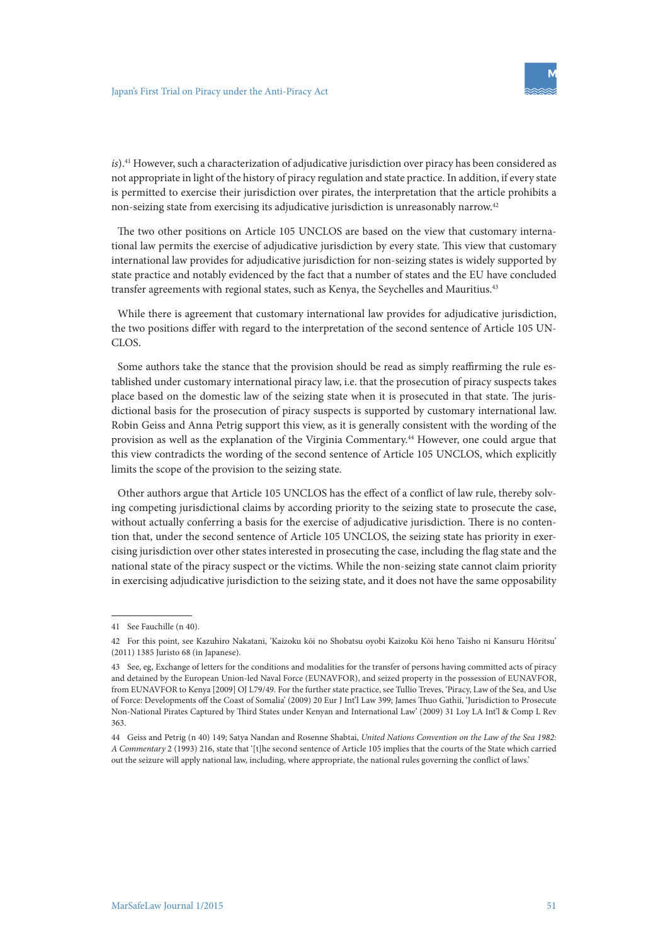*is*).<sup>41</sup> However, such a characterization of adjudicative jurisdiction over piracy has been considered as not appropriate in light of the history of piracy regulation and state practice. In addition, if every state is permitted to exercise their jurisdiction over pirates, the interpretation that the article prohibits a non-seizing state from exercising its adjudicative jurisdiction is unreasonably narrow.42

The two other positions on Article 105 UNCLOS are based on the view that customary international law permits the exercise of adjudicative jurisdiction by every state. This view that customary international law provides for adjudicative jurisdiction for non-seizing states is widely supported by state practice and notably evidenced by the fact that a number of states and the EU have concluded transfer agreements with regional states, such as Kenya, the Seychelles and Mauritius.<sup>43</sup>

While there is agreement that customary international law provides for adjudicative jurisdiction, the two positions differ with regard to the interpretation of the second sentence of Article 105 UN-CLOS.

Some authors take the stance that the provision should be read as simply reaffirming the rule established under customary international piracy law, i.e. that the prosecution of piracy suspects takes place based on the domestic law of the seizing state when it is prosecuted in that state. The jurisdictional basis for the prosecution of piracy suspects is supported by customary international law. Robin Geiss and Anna Petrig support this view, as it is generally consistent with the wording of the provision as well as the explanation of the Virginia Commentary.44 However, one could argue that this view contradicts the wording of the second sentence of Article 105 UNCLOS, which explicitly limits the scope of the provision to the seizing state.

Other authors argue that Article 105 UNCLOS has the effect of a conflict of law rule, thereby solving competing jurisdictional claims by according priority to the seizing state to prosecute the case, without actually conferring a basis for the exercise of adjudicative jurisdiction. There is no contention that, under the second sentence of Article 105 UNCLOS, the seizing state has priority in exercising jurisdiction over other states interested in prosecuting the case, including the flag state and the national state of the piracy suspect or the victims. While the non-seizing state cannot claim priority in exercising adjudicative jurisdiction to the seizing state, and it does not have the same opposability

<sup>41</sup> See Fauchille (n 40).

<sup>42</sup> For this point, see Kazuhiro Nakatani, 'Kaizoku kōi no Shobatsu oyobi Kaizoku Kōi heno Taisho ni Kansuru Hōritsu' (2011) 1385 Juristo 68 (in Japanese).

<sup>43</sup> See, eg, Exchange of letters for the conditions and modalities for the transfer of persons having committed acts of piracy and detained by the European Union-led Naval Force (EUNAVFOR), and seized property in the possession of EUNAVFOR, from EUNAVFOR to Kenya [2009] OJ L79/49. For the further state practice, see Tullio Treves, 'Piracy, Law of the Sea, and Use of Force: Developments off the Coast of Somalia' (2009) 20 Eur J Int'l Law 399; James Thuo Gathii, 'Jurisdiction to Prosecute Non-National Pirates Captured by Third States under Kenyan and International Law' (2009) 31 Loy LA Int'l & Comp L Rev 363.

<sup>44</sup> Geiss and Petrig (n 40) 149; Satya Nandan and Rosenne Shabtai, *United Nations Convention on the Law of the Sea 1982: A Commentary* 2 (1993) 216, state that '[t]he second sentence of Article 105 implies that the courts of the State which carried out the seizure will apply national law, including, where appropriate, the national rules governing the conflict of laws.'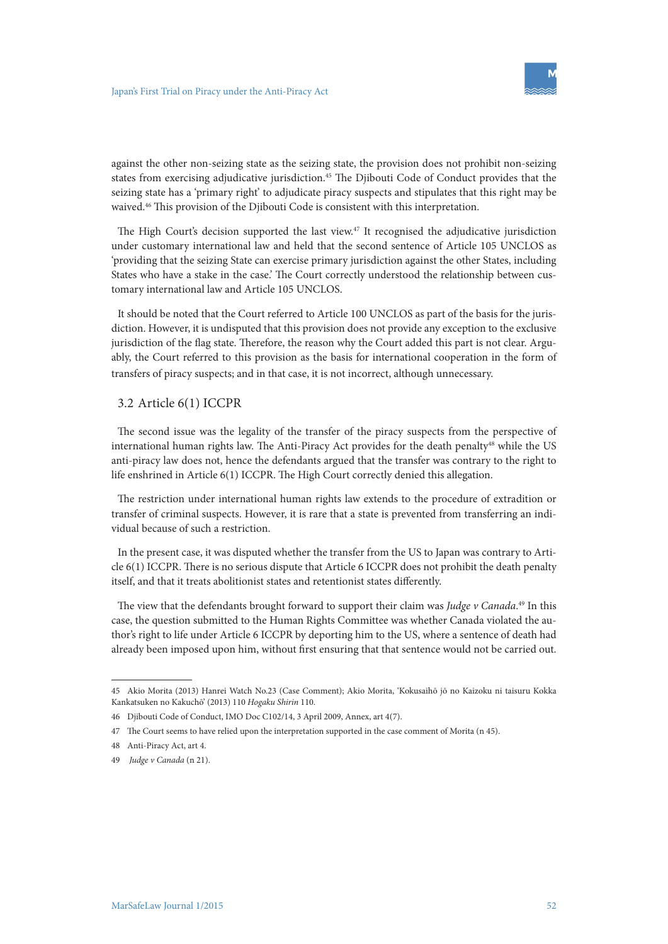

against the other non-seizing state as the seizing state, the provision does not prohibit non-seizing states from exercising adjudicative jurisdiction.<sup>45</sup> The Djibouti Code of Conduct provides that the seizing state has a 'primary right' to adjudicate piracy suspects and stipulates that this right may be waived.46 This provision of the Djibouti Code is consistent with this interpretation.

The High Court's decision supported the last view.<sup>47</sup> It recognised the adjudicative jurisdiction under customary international law and held that the second sentence of Article 105 UNCLOS as 'providing that the seizing State can exercise primary jurisdiction against the other States, including States who have a stake in the case.' The Court correctly understood the relationship between customary international law and Article 105 UNCLOS.

It should be noted that the Court referred to Article 100 UNCLOS as part of the basis for the jurisdiction. However, it is undisputed that this provision does not provide any exception to the exclusive jurisdiction of the flag state. Therefore, the reason why the Court added this part is not clear. Arguably, the Court referred to this provision as the basis for international cooperation in the form of transfers of piracy suspects; and in that case, it is not incorrect, although unnecessary.

### 3.2 Article 6(1) ICCPR

The second issue was the legality of the transfer of the piracy suspects from the perspective of international human rights law. The Anti-Piracy Act provides for the death penalty<sup>48</sup> while the US anti-piracy law does not, hence the defendants argued that the transfer was contrary to the right to life enshrined in Article 6(1) ICCPR. The High Court correctly denied this allegation.

The restriction under international human rights law extends to the procedure of extradition or transfer of criminal suspects. However, it is rare that a state is prevented from transferring an individual because of such a restriction.

In the present case, it was disputed whether the transfer from the US to Japan was contrary to Article 6(1) ICCPR. There is no serious dispute that Article 6 ICCPR does not prohibit the death penalty itself, and that it treats abolitionist states and retentionist states differently.

The view that the defendants brought forward to support their claim was *Judge v Canada*. 49 In this case, the question submitted to the Human Rights Committee was whether Canada violated the author's right to life under Article 6 ICCPR by deporting him to the US, where a sentence of death had already been imposed upon him, without first ensuring that that sentence would not be carried out.

<sup>45</sup> Akio Morita (2013) Hanrei Watch No.23 (Case Comment); Akio Morita, 'Kokusaihō jō no Kaizoku ni taisuru Kokka Kankatsuken no Kakuchō' (2013) 110 *Hogaku Shirin* 110.

<sup>46</sup> Djibouti Code of Conduct, IMO Doc C102/14, 3 April 2009, Annex, art 4(7).

<sup>47</sup> The Court seems to have relied upon the interpretation supported in the case comment of Morita (n 45).

<sup>48</sup> Anti-Piracy Act, art 4.

<sup>49</sup> *Judge v Canada* (n 21).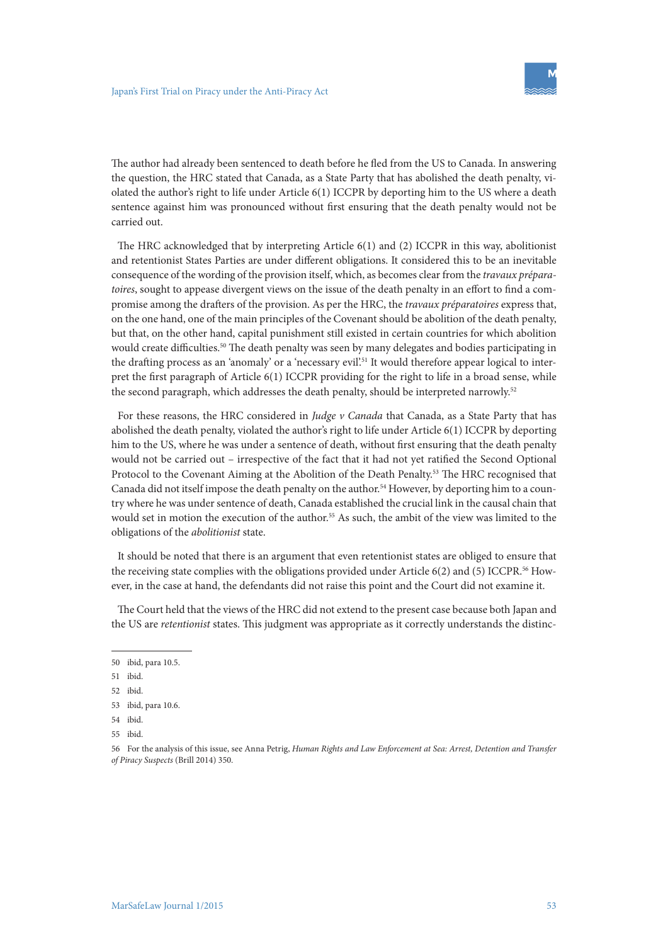The author had already been sentenced to death before he fled from the US to Canada. In answering the question, the HRC stated that Canada, as a State Party that has abolished the death penalty, violated the author's right to life under Article 6(1) ICCPR by deporting him to the US where a death sentence against him was pronounced without first ensuring that the death penalty would not be carried out.

The HRC acknowledged that by interpreting Article 6(1) and (2) ICCPR in this way, abolitionist and retentionist States Parties are under different obligations. It considered this to be an inevitable consequence of the wording of the provision itself, which, as becomes clear from the *travaux préparatoires*, sought to appease divergent views on the issue of the death penalty in an effort to find a compromise among the drafters of the provision. As per the HRC, the *travaux préparatoires* express that, on the one hand, one of the main principles of the Covenant should be abolition of the death penalty, but that, on the other hand, capital punishment still existed in certain countries for which abolition would create difficulties.<sup>50</sup> The death penalty was seen by many delegates and bodies participating in the drafting process as an 'anomaly' or a 'necessary evil'.51 It would therefore appear logical to interpret the first paragraph of Article 6(1) ICCPR providing for the right to life in a broad sense, while the second paragraph, which addresses the death penalty, should be interpreted narrowly.<sup>52</sup>

For these reasons, the HRC considered in *Judge v Canada* that Canada, as a State Party that has abolished the death penalty, violated the author's right to life under Article 6(1) ICCPR by deporting him to the US, where he was under a sentence of death, without first ensuring that the death penalty would not be carried out – irrespective of the fact that it had not yet ratified the Second Optional Protocol to the Covenant Aiming at the Abolition of the Death Penalty.53 The HRC recognised that Canada did not itself impose the death penalty on the author.54 However, by deporting him to a country where he was under sentence of death, Canada established the crucial link in the causal chain that would set in motion the execution of the author.<sup>55</sup> As such, the ambit of the view was limited to the obligations of the *abolitionist* state.

It should be noted that there is an argument that even retentionist states are obliged to ensure that the receiving state complies with the obligations provided under Article  $6(2)$  and  $(5)$  ICCPR.<sup>56</sup> However, in the case at hand, the defendants did not raise this point and the Court did not examine it.

The Court held that the views of the HRC did not extend to the present case because both Japan and the US are *retentionist* states. This judgment was appropriate as it correctly understands the distinc-

<sup>50</sup> ibid, para 10.5.

<sup>51</sup> ibid.

<sup>52</sup> ibid.

<sup>53</sup> ibid, para 10.6.

<sup>54</sup> ibid.

<sup>55</sup> ibid.

<sup>56</sup> For the analysis of this issue, see Anna Petrig, *Human Rights and Law Enforcement at Sea: Arrest, Detention and Transfer of Piracy Suspects* (Brill 2014) 350.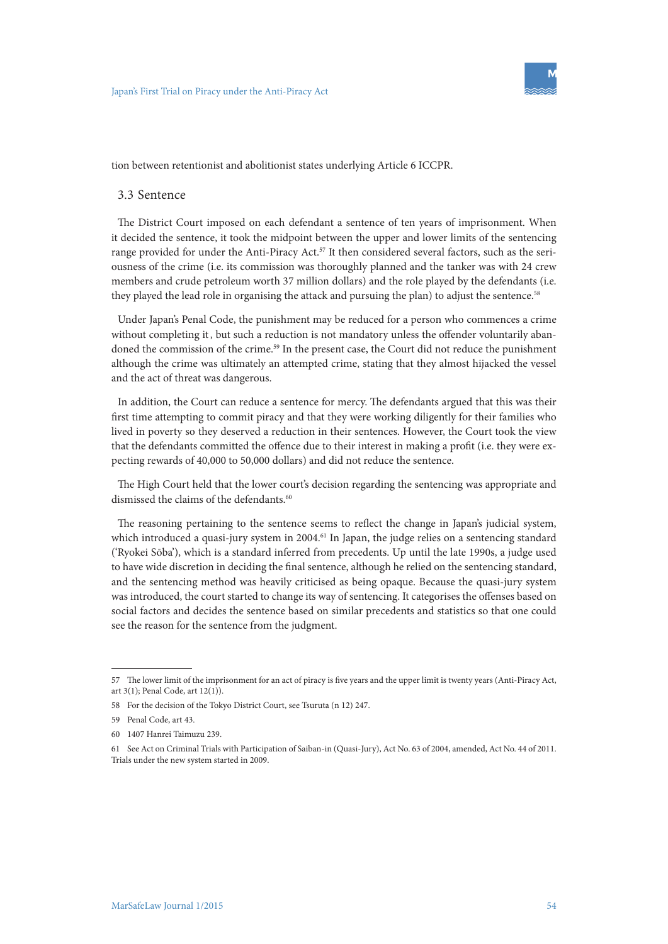tion between retentionist and abolitionist states underlying Article 6 ICCPR.

#### 3.3 Sentence

The District Court imposed on each defendant a sentence of ten years of imprisonment. When it decided the sentence, it took the midpoint between the upper and lower limits of the sentencing range provided for under the Anti-Piracy Act.<sup>57</sup> It then considered several factors, such as the seriousness of the crime (i.e. its commission was thoroughly planned and the tanker was with 24 crew members and crude petroleum worth 37 million dollars) and the role played by the defendants (i.e. they played the lead role in organising the attack and pursuing the plan) to adjust the sentence.<sup>58</sup>

Under Japan's Penal Code, the punishment may be reduced for a person who commences a crime without completing it, but such a reduction is not mandatory unless the offender voluntarily abandoned the commission of the crime.<sup>59</sup> In the present case, the Court did not reduce the punishment although the crime was ultimately an attempted crime, stating that they almost hijacked the vessel and the act of threat was dangerous.

In addition, the Court can reduce a sentence for mercy. The defendants argued that this was their first time attempting to commit piracy and that they were working diligently for their families who lived in poverty so they deserved a reduction in their sentences. However, the Court took the view that the defendants committed the offence due to their interest in making a profit (i.e. they were expecting rewards of 40,000 to 50,000 dollars) and did not reduce the sentence.

The High Court held that the lower court's decision regarding the sentencing was appropriate and dismissed the claims of the defendants.<sup>60</sup>

The reasoning pertaining to the sentence seems to reflect the change in Japan's judicial system, which introduced a quasi-jury system in 2004.<sup>61</sup> In Japan, the judge relies on a sentencing standard ('Ryokei Sōba'), which is a standard inferred from precedents. Up until the late 1990s, a judge used to have wide discretion in deciding the final sentence, although he relied on the sentencing standard, and the sentencing method was heavily criticised as being opaque. Because the quasi-jury system was introduced, the court started to change its way of sentencing. It categorises the offenses based on social factors and decides the sentence based on similar precedents and statistics so that one could see the reason for the sentence from the judgment.

<sup>57</sup> The lower limit of the imprisonment for an act of piracy is five years and the upper limit is twenty years (Anti-Piracy Act, art 3(1); Penal Code, art 12(1)).

<sup>58</sup> For the decision of the Tokyo District Court, see Tsuruta (n 12) 247.

<sup>59</sup> Penal Code, art 43.

<sup>60</sup> 1407 Hanrei Taimuzu 239.

<sup>61</sup> See Act on Criminal Trials with Participation of Saiban-in (Quasi-Jury), Act No. 63 of 2004, amended, Act No. 44 of 2011. Trials under the new system started in 2009.